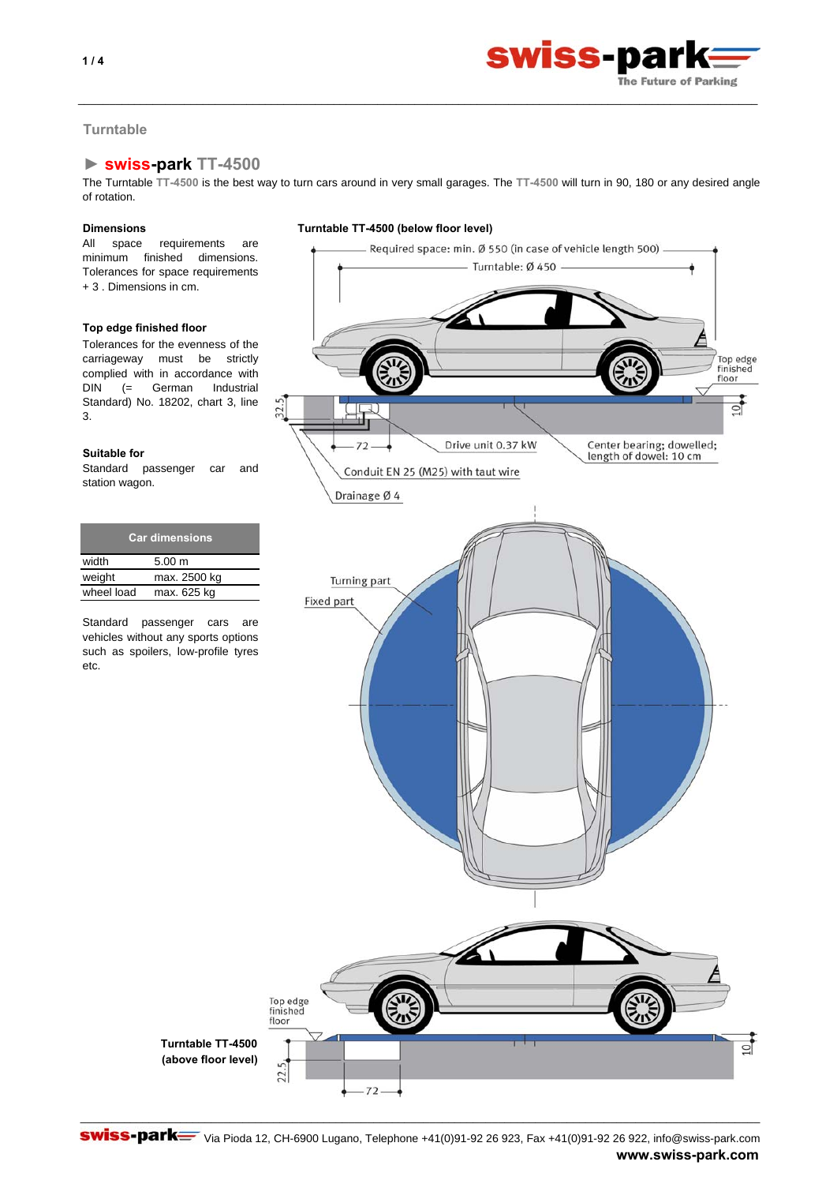



## **Turntable**

# **► swiss-park TT-4500**

The Turntable **TT-4500** is the best way to turn cars around in very small garages. The **TT-4500** will turn in 90, 180 or any desired angle of rotation.

\_\_\_\_\_\_\_\_\_\_\_\_\_\_\_\_\_\_\_\_\_\_\_\_\_\_\_\_\_\_\_\_\_\_\_\_\_\_\_\_\_\_\_\_\_\_\_\_\_\_\_\_\_\_\_\_\_\_\_\_\_\_\_\_\_\_\_\_\_\_\_\_\_\_\_\_\_\_\_\_\_\_\_\_\_\_\_\_\_\_\_\_\_\_\_\_\_\_\_\_\_\_\_\_\_\_\_\_\_

All space requirements are minimum finished dimensions. Tolerances for space requirements + 3 . Dimensions in cm.

## **Top edge finished floor**

Tolerances for the evenness of the carriageway must be strictly complied with in accordance with DIN (= German Industrial Standard) No. 18202, chart 3, line 3.

## **Suitable for**

Standard passenger car and station wagon.

| <b>Car dimensions</b> |              |  |
|-----------------------|--------------|--|
| width                 | 5.00 m       |  |
| weight                | max. 2500 kg |  |
| wheel load            | max. 625 kg  |  |

Standard passenger cars are vehicles without any sports options such as spoilers, low-profile tyres etc.



Swiss-park= Via Pioda 12, CH-6900 Lugano, Telephone +41(0)91-92 26 923, Fax +41(0)91-92 26 922, info@swiss-park.com **www.swiss-park.com**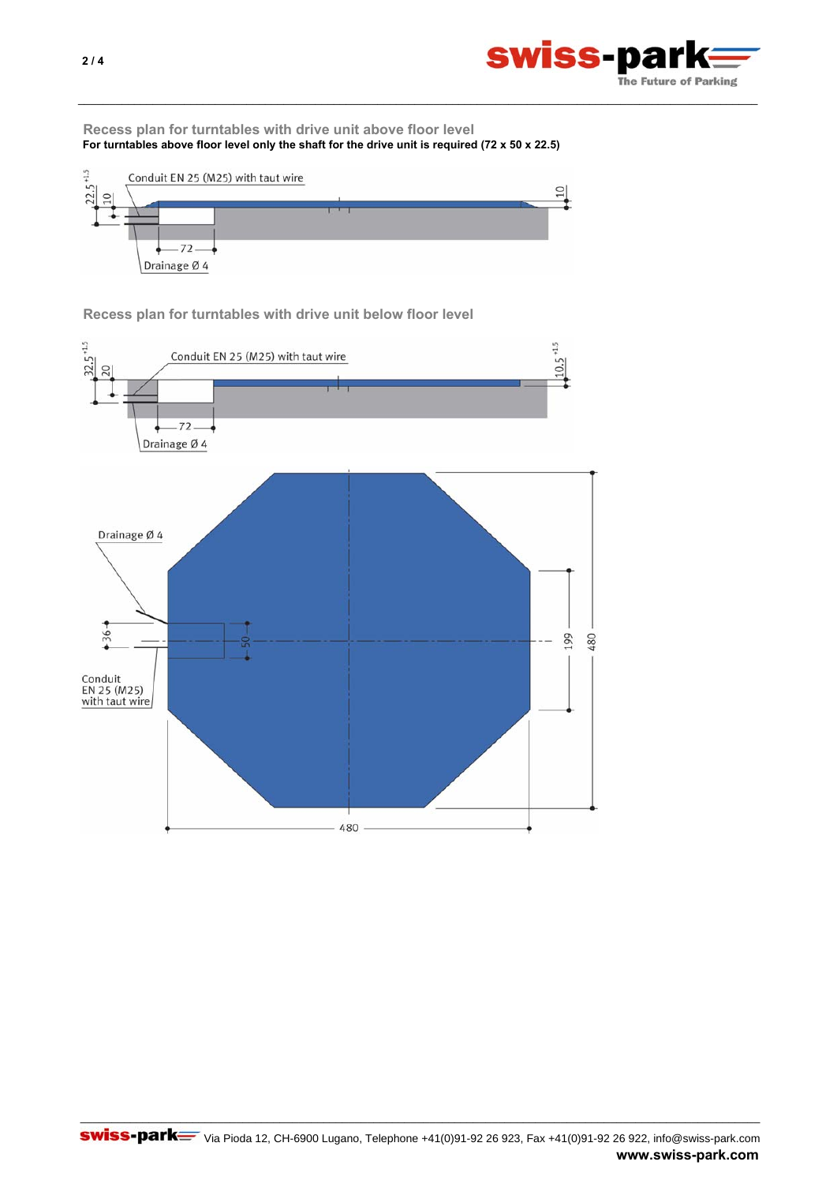

**Recess plan for turntables with drive unit above floor level For turntables above floor level only the shaft for the drive unit is required (72 x 50 x 22.5)**

\_\_\_\_\_\_\_\_\_\_\_\_\_\_\_\_\_\_\_\_\_\_\_\_\_\_\_\_\_\_\_\_\_\_\_\_\_\_\_\_\_\_\_\_\_\_\_\_\_\_\_\_\_\_\_\_\_\_\_\_\_\_\_\_\_\_\_\_\_\_\_\_\_\_\_\_\_\_\_\_\_\_\_\_\_\_\_\_\_\_\_\_\_\_\_\_\_\_\_\_\_\_\_\_\_\_\_\_\_



**Recess plan for turntables with drive unit below floor level**

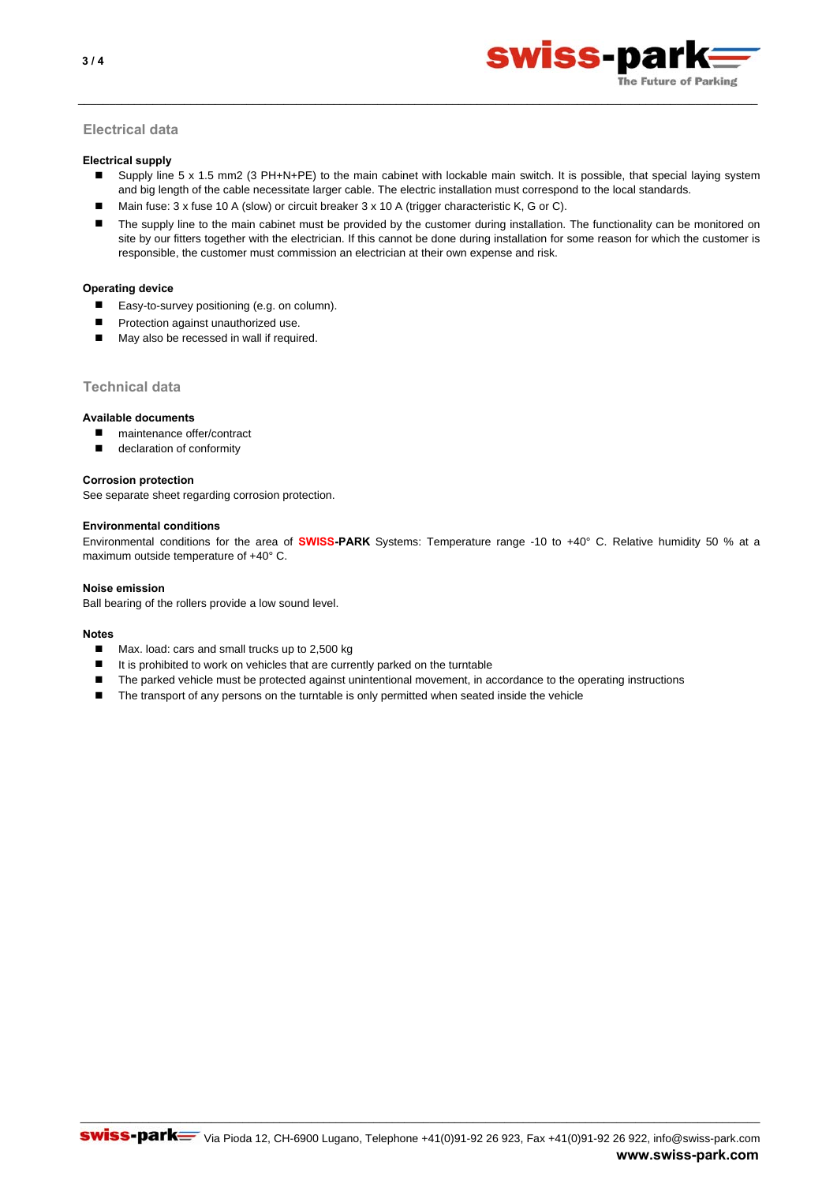

## **Electrical data**

### **Electrical supply**

 $\blacksquare$ Supply line 5 x 1.5 mm2 (3 PH+N+PE) to the main cabinet with lockable main switch. It is possible, that special laying system and big length of the cable necessitate larger cable. The electric installation must correspond to the local standards.

\_\_\_\_\_\_\_\_\_\_\_\_\_\_\_\_\_\_\_\_\_\_\_\_\_\_\_\_\_\_\_\_\_\_\_\_\_\_\_\_\_\_\_\_\_\_\_\_\_\_\_\_\_\_\_\_\_\_\_\_\_\_\_\_\_\_\_\_\_\_\_\_\_\_\_\_\_\_\_\_\_\_\_\_\_\_\_\_\_\_\_\_\_\_\_\_\_\_\_\_\_\_\_\_\_\_\_\_\_

- Main fuse: 3 x fuse 10 A (slow) or circuit breaker 3 x 10 A (trigger characteristic K, G or C).
- $\blacksquare$ The supply line to the main cabinet must be provided by the customer during installation. The functionality can be monitored on site by our fitters together with the electrician. If this cannot be done during installation for some reason for which the customer is responsible, the customer must commission an electrician at their own expense and risk.

### **Operating device**

- Easy-to-survey positioning (e.g. on column).
- **Protection against unauthorized use.**
- May also be recessed in wall if required.

## **Technical data**

### **Available documents**

- maintenance offer/contract
- declaration of conformity

#### **Corrosion protection**

See separate sheet regarding corrosion protection.

#### **Environmental conditions**

Environmental conditions for the area of **SWISS-PARK** Systems: Temperature range -10 to +40° C. Relative humidity 50 % at a maximum outside temperature of +40° C.

#### **Noise emission**

Ball bearing of the rollers provide a low sound level.

#### **Notes**

- Max. load: cars and small trucks up to 2,500 kg
- It is prohibited to work on vehicles that are currently parked on the turntable
- The parked vehicle must be protected against unintentional movement, in accordance to the operating instructions
- The transport of any persons on the turntable is only permitted when seated inside the vehicle